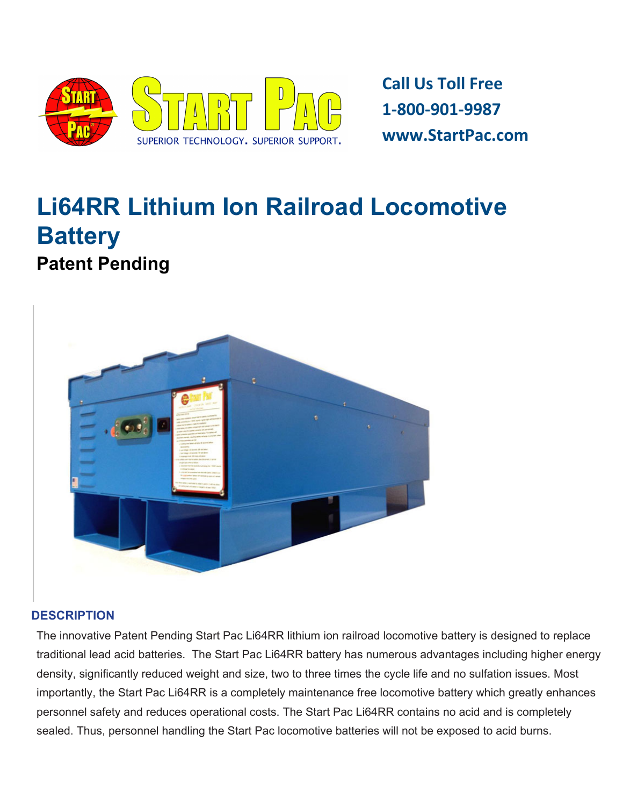

**Call Us Toll Free 1-800-901-9987 www.StartPac.com**

# **Li64RR Lithium Ion Railroad [Locomotive](http://www.google.com/url?q=http%3A%2F%2Fwww.startpac.com%2F&sa=D&sntz=1&usg=AFQjCNHkN7W-O6eret7opNluBeOUQvwUYA) [Battery](http://www.google.com/url?q=http%3A%2F%2Fwww.startpac.com%2F&sa=D&sntz=1&usg=AFQjCNHkN7W-O6eret7opNluBeOUQvwUYA) Patent Pending**



#### **DESCRIPTION**

The innovative Patent Pending Start Pac Li64RR lithium ion railroad locomotive battery is designed to replace traditional lead acid batteries. The Start Pac Li64RR battery has numerous advantages including higher energy density, significantly reduced weight and size, two to three times the cycle life and no sulfation issues. Most importantly, the Start Pac Li64RR is a completely maintenance free locomotive battery which greatly enhances personnel safety and reduces operational costs. The Start Pac Li64RR contains no acid and is completely sealed. Thus, personnel handling the Start Pac locomotive batteries will not be exposed to acid burns.